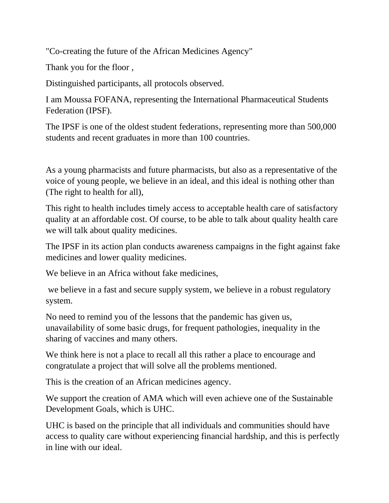"Co-creating the future of the African Medicines Agency"

Thank you for the floor ,

Distinguished participants, all protocols observed.

I am Moussa FOFANA, representing the International Pharmaceutical Students Federation (IPSF).

The IPSF is one of the oldest student federations, representing more than 500,000 students and recent graduates in more than 100 countries.

As a young pharmacists and future pharmacists, but also as a representative of the voice of young people, we believe in an ideal, and this ideal is nothing other than (The right to health for all),

This right to health includes timely access to acceptable health care of satisfactory quality at an affordable cost. Of course, to be able to talk about quality health care we will talk about quality medicines.

The IPSF in its action plan conducts awareness campaigns in the fight against fake medicines and lower quality medicines.

We believe in an Africa without fake medicines.

we believe in a fast and secure supply system, we believe in a robust regulatory system.

No need to remind you of the lessons that the pandemic has given us, unavailability of some basic drugs, for frequent pathologies, inequality in the sharing of vaccines and many others.

We think here is not a place to recall all this rather a place to encourage and congratulate a project that will solve all the problems mentioned.

This is the creation of an African medicines agency.

We support the creation of AMA which will even achieve one of the Sustainable Development Goals, which is UHC.

UHC is based on the principle that all individuals and communities should have access to quality care without experiencing financial hardship, and this is perfectly in line with our ideal.